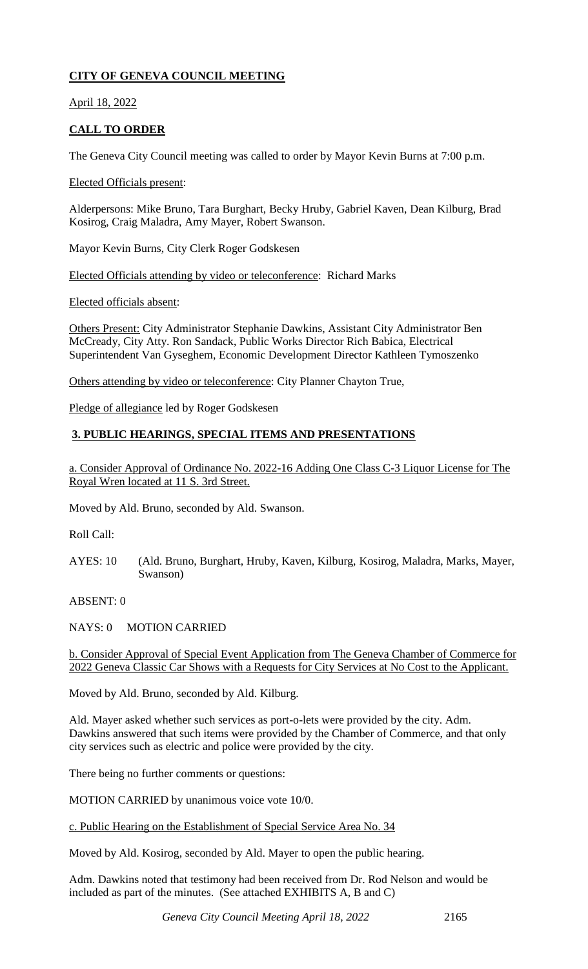# **CITY OF GENEVA COUNCIL MEETING**

April 18, 2022

# **CALL TO ORDER**

The Geneva City Council meeting was called to order by Mayor Kevin Burns at 7:00 p.m.

Elected Officials present:

Alderpersons: Mike Bruno, Tara Burghart, Becky Hruby, Gabriel Kaven, Dean Kilburg, Brad Kosirog, Craig Maladra, Amy Mayer, Robert Swanson.

Mayor Kevin Burns, City Clerk Roger Godskesen

Elected Officials attending by video or teleconference: Richard Marks

Elected officials absent:

Others Present: City Administrator Stephanie Dawkins, Assistant City Administrator Ben McCready, City Atty. Ron Sandack, Public Works Director Rich Babica, Electrical Superintendent Van Gyseghem, Economic Development Director Kathleen Tymoszenko

Others attending by video or teleconference: City Planner Chayton True,

Pledge of allegiance led by Roger Godskesen

# **3. PUBLIC HEARINGS, SPECIAL ITEMS AND PRESENTATIONS**

a. Consider Approval of Ordinance No. 2022-16 Adding One Class C-3 Liquor License for The Royal Wren located at 11 S. 3rd Street.

Moved by Ald. Bruno, seconded by Ald. Swanson.

Roll Call:

AYES: 10 (Ald. Bruno, Burghart, Hruby, Kaven, Kilburg, Kosirog, Maladra, Marks, Mayer, Swanson)

ABSENT: 0

NAYS: 0 MOTION CARRIED

b. Consider Approval of Special Event Application from The Geneva Chamber of Commerce for 2022 Geneva Classic Car Shows with a Requests for City Services at No Cost to the Applicant.

Moved by Ald. Bruno, seconded by Ald. Kilburg.

Ald. Mayer asked whether such services as port-o-lets were provided by the city. Adm. Dawkins answered that such items were provided by the Chamber of Commerce, and that only city services such as electric and police were provided by the city.

There being no further comments or questions:

MOTION CARRIED by unanimous voice vote 10/0.

c. Public Hearing on the Establishment of Special Service Area No. 34

Moved by Ald. Kosirog, seconded by Ald. Mayer to open the public hearing.

Adm. Dawkins noted that testimony had been received from Dr. Rod Nelson and would be included as part of the minutes. (See attached EXHIBITS A, B and C)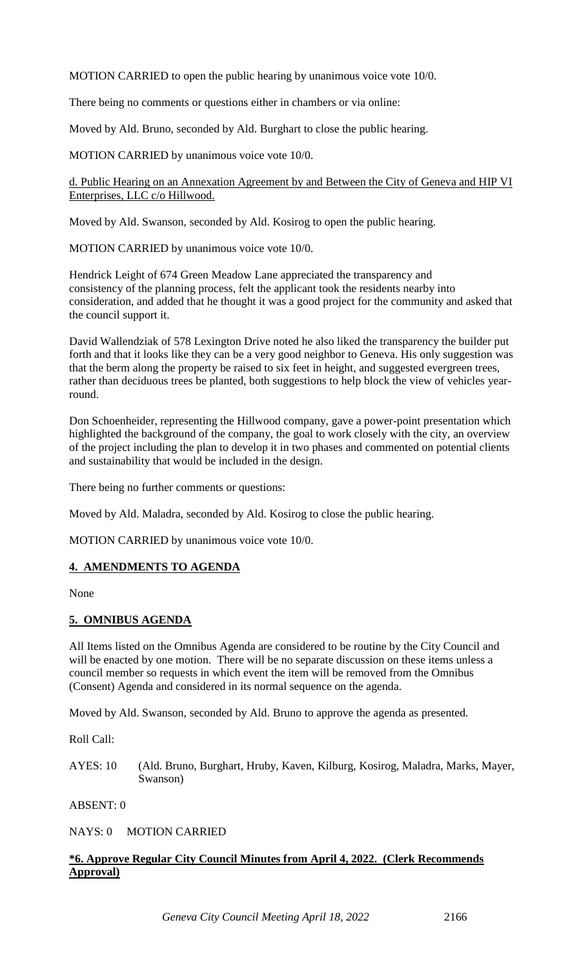MOTION CARRIED to open the public hearing by unanimous voice vote 10/0.

There being no comments or questions either in chambers or via online:

Moved by Ald. Bruno, seconded by Ald. Burghart to close the public hearing.

MOTION CARRIED by unanimous voice vote 10/0.

d. Public Hearing on an Annexation Agreement by and Between the City of Geneva and HIP VI Enterprises, LLC c/o Hillwood.

Moved by Ald. Swanson, seconded by Ald. Kosirog to open the public hearing.

MOTION CARRIED by unanimous voice vote 10/0.

Hendrick Leight of 674 Green Meadow Lane appreciated the transparency and consistency of the planning process, felt the applicant took the residents nearby into consideration, and added that he thought it was a good project for the community and asked that the council support it.

David Wallendziak of 578 Lexington Drive noted he also liked the transparency the builder put forth and that it looks like they can be a very good neighbor to Geneva. His only suggestion was that the berm along the property be raised to six feet in height, and suggested evergreen trees, rather than deciduous trees be planted, both suggestions to help block the view of vehicles yearround.

Don Schoenheider, representing the Hillwood company, gave a power-point presentation which highlighted the background of the company, the goal to work closely with the city, an overview of the project including the plan to develop it in two phases and commented on potential clients and sustainability that would be included in the design.

There being no further comments or questions:

Moved by Ald. Maladra, seconded by Ald. Kosirog to close the public hearing.

MOTION CARRIED by unanimous voice vote 10/0.

#### **4. AMENDMENTS TO AGENDA**

None

#### **5. OMNIBUS AGENDA**

All Items listed on the Omnibus Agenda are considered to be routine by the City Council and will be enacted by one motion. There will be no separate discussion on these items unless a council member so requests in which event the item will be removed from the Omnibus (Consent) Agenda and considered in its normal sequence on the agenda.

Moved by Ald. Swanson, seconded by Ald. Bruno to approve the agenda as presented.

Roll Call:

AYES: 10 (Ald. Bruno, Burghart, Hruby, Kaven, Kilburg, Kosirog, Maladra, Marks, Mayer, Swanson)

ABSENT: 0

NAYS: 0 MOTION CARRIED

## **\*6. Approve Regular City Council Minutes from April 4, 2022. (Clerk Recommends Approval)**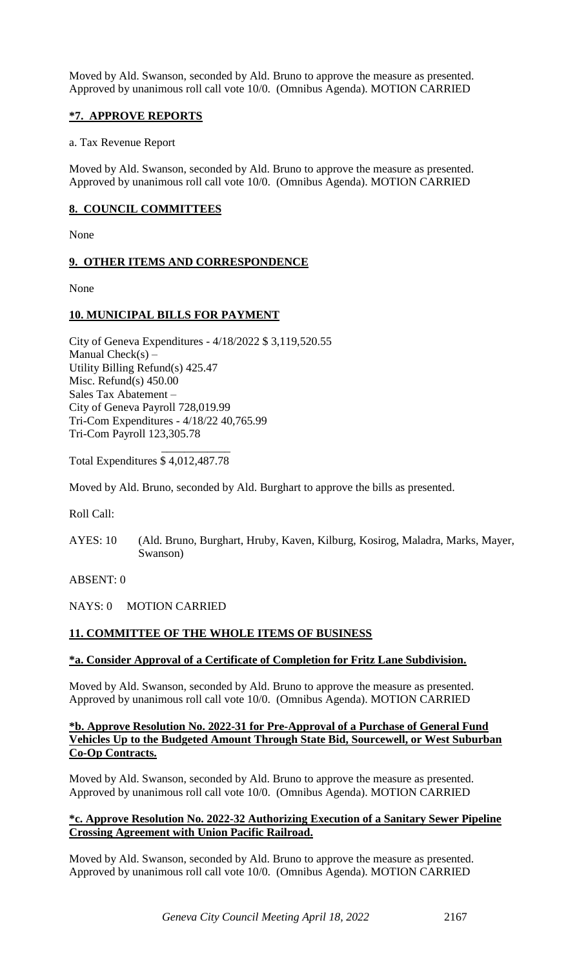Moved by Ald. Swanson, seconded by Ald. Bruno to approve the measure as presented. Approved by unanimous roll call vote 10/0. (Omnibus Agenda). MOTION CARRIED

### **\*7. APPROVE REPORTS**

#### a. Tax Revenue Report

Moved by Ald. Swanson, seconded by Ald. Bruno to approve the measure as presented. Approved by unanimous roll call vote 10/0. (Omnibus Agenda). MOTION CARRIED

### **8. COUNCIL COMMITTEES**

None

#### **9. OTHER ITEMS AND CORRESPONDENCE**

None

## **10. MUNICIPAL BILLS FOR PAYMENT**

City of Geneva Expenditures - 4/18/2022 \$ 3,119,520.55 Manual  $Check(s)$  – Utility Billing Refund(s) 425.47 Misc. Refund(s) 450.00 Sales Tax Abatement – City of Geneva Payroll 728,019.99 Tri-Com Expenditures - 4/18/22 40,765.99 Tri-Com Payroll 123,305.78

 $\mathcal{L}_\text{max}$  and  $\mathcal{L}_\text{max}$  and  $\mathcal{L}_\text{max}$ Total Expenditures \$ 4,012,487.78

Moved by Ald. Bruno, seconded by Ald. Burghart to approve the bills as presented.

Roll Call:

AYES: 10 (Ald. Bruno, Burghart, Hruby, Kaven, Kilburg, Kosirog, Maladra, Marks, Mayer, Swanson)

ABSENT: 0

#### NAYS: 0 MOTION CARRIED

## **11. COMMITTEE OF THE WHOLE ITEMS OF BUSINESS**

#### **\*a. Consider Approval of a Certificate of Completion for Fritz Lane Subdivision.**

Moved by Ald. Swanson, seconded by Ald. Bruno to approve the measure as presented. Approved by unanimous roll call vote 10/0. (Omnibus Agenda). MOTION CARRIED

#### **\*b. Approve Resolution No. 2022-31 for Pre-Approval of a Purchase of General Fund Vehicles Up to the Budgeted Amount Through State Bid, Sourcewell, or West Suburban Co-Op Contracts.**

Moved by Ald. Swanson, seconded by Ald. Bruno to approve the measure as presented. Approved by unanimous roll call vote 10/0. (Omnibus Agenda). MOTION CARRIED

#### **\*c. Approve Resolution No. 2022-32 Authorizing Execution of a Sanitary Sewer Pipeline Crossing Agreement with Union Pacific Railroad.**

Moved by Ald. Swanson, seconded by Ald. Bruno to approve the measure as presented. Approved by unanimous roll call vote 10/0. (Omnibus Agenda). MOTION CARRIED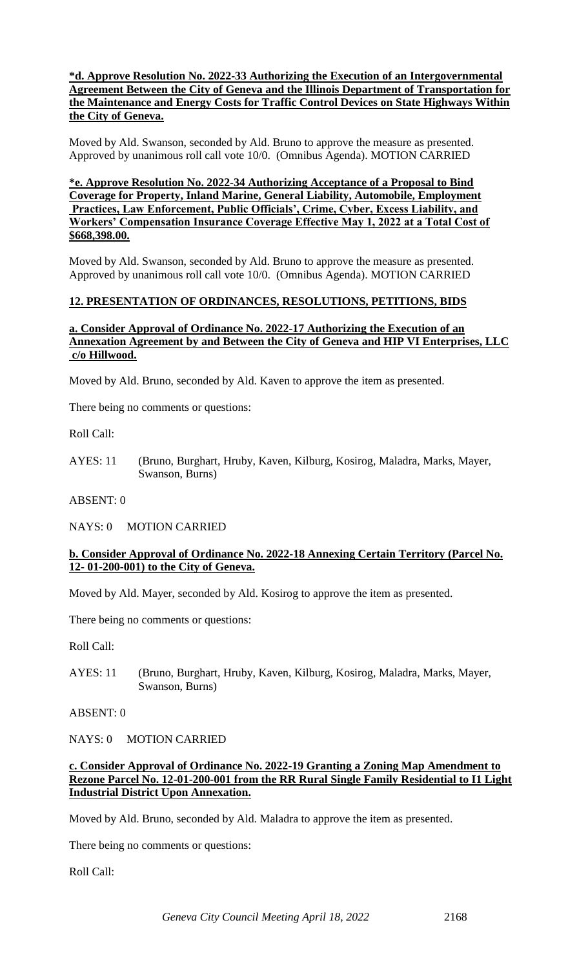#### **\*d. Approve Resolution No. 2022-33 Authorizing the Execution of an Intergovernmental Agreement Between the City of Geneva and the Illinois Department of Transportation for the Maintenance and Energy Costs for Traffic Control Devices on State Highways Within the City of Geneva.**

Moved by Ald. Swanson, seconded by Ald. Bruno to approve the measure as presented. Approved by unanimous roll call vote 10/0. (Omnibus Agenda). MOTION CARRIED

#### **\*e. Approve Resolution No. 2022-34 Authorizing Acceptance of a Proposal to Bind Coverage for Property, Inland Marine, General Liability, Automobile, Employment Practices, Law Enforcement, Public Officials', Crime, Cyber, Excess Liability, and Workers' Compensation Insurance Coverage Effective May 1, 2022 at a Total Cost of \$668,398.00.**

Moved by Ald. Swanson, seconded by Ald. Bruno to approve the measure as presented. Approved by unanimous roll call vote 10/0. (Omnibus Agenda). MOTION CARRIED

#### **12. PRESENTATION OF ORDINANCES, RESOLUTIONS, PETITIONS, BIDS**

#### **a. Consider Approval of Ordinance No. 2022-17 Authorizing the Execution of an Annexation Agreement by and Between the City of Geneva and HIP VI Enterprises, LLC c/o Hillwood.**

Moved by Ald. Bruno, seconded by Ald. Kaven to approve the item as presented.

There being no comments or questions:

Roll Call:

AYES: 11 (Bruno, Burghart, Hruby, Kaven, Kilburg, Kosirog, Maladra, Marks, Mayer, Swanson, Burns)

ABSENT: 0

NAYS: 0 MOTION CARRIED

#### **b. Consider Approval of Ordinance No. 2022-18 Annexing Certain Territory (Parcel No. 12- 01-200-001) to the City of Geneva.**

Moved by Ald. Mayer, seconded by Ald. Kosirog to approve the item as presented.

There being no comments or questions:

Roll Call:

AYES: 11 (Bruno, Burghart, Hruby, Kaven, Kilburg, Kosirog, Maladra, Marks, Mayer, Swanson, Burns)

ABSENT: 0

NAYS: 0 MOTION CARRIED

#### **c. Consider Approval of Ordinance No. 2022-19 Granting a Zoning Map Amendment to Rezone Parcel No. 12-01-200-001 from the RR Rural Single Family Residential to I1 Light Industrial District Upon Annexation.**

Moved by Ald. Bruno, seconded by Ald. Maladra to approve the item as presented.

There being no comments or questions:

Roll Call: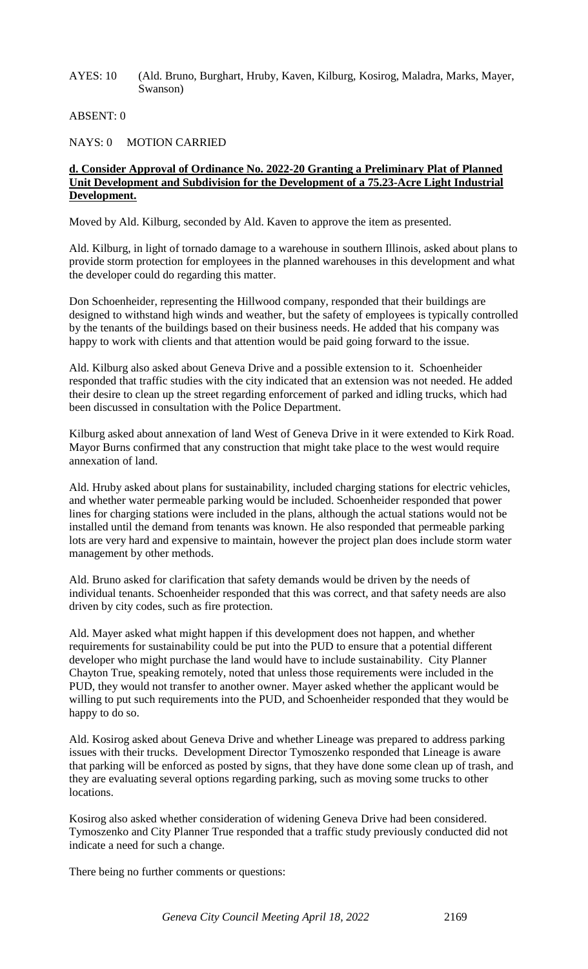AYES: 10 (Ald. Bruno, Burghart, Hruby, Kaven, Kilburg, Kosirog, Maladra, Marks, Mayer, Swanson)

ABSENT: 0

NAYS: 0 MOTION CARRIED

#### **d. Consider Approval of Ordinance No. 2022-20 Granting a Preliminary Plat of Planned Unit Development and Subdivision for the Development of a 75.23-Acre Light Industrial Development.**

Moved by Ald. Kilburg, seconded by Ald. Kaven to approve the item as presented.

Ald. Kilburg, in light of tornado damage to a warehouse in southern Illinois, asked about plans to provide storm protection for employees in the planned warehouses in this development and what the developer could do regarding this matter.

Don Schoenheider, representing the Hillwood company, responded that their buildings are designed to withstand high winds and weather, but the safety of employees is typically controlled by the tenants of the buildings based on their business needs. He added that his company was happy to work with clients and that attention would be paid going forward to the issue.

Ald. Kilburg also asked about Geneva Drive and a possible extension to it. Schoenheider responded that traffic studies with the city indicated that an extension was not needed. He added their desire to clean up the street regarding enforcement of parked and idling trucks, which had been discussed in consultation with the Police Department.

Kilburg asked about annexation of land West of Geneva Drive in it were extended to Kirk Road. Mayor Burns confirmed that any construction that might take place to the west would require annexation of land.

Ald. Hruby asked about plans for sustainability, included charging stations for electric vehicles, and whether water permeable parking would be included. Schoenheider responded that power lines for charging stations were included in the plans, although the actual stations would not be installed until the demand from tenants was known. He also responded that permeable parking lots are very hard and expensive to maintain, however the project plan does include storm water management by other methods.

Ald. Bruno asked for clarification that safety demands would be driven by the needs of individual tenants. Schoenheider responded that this was correct, and that safety needs are also driven by city codes, such as fire protection.

Ald. Mayer asked what might happen if this development does not happen, and whether requirements for sustainability could be put into the PUD to ensure that a potential different developer who might purchase the land would have to include sustainability. City Planner Chayton True, speaking remotely, noted that unless those requirements were included in the PUD, they would not transfer to another owner. Mayer asked whether the applicant would be willing to put such requirements into the PUD, and Schoenheider responded that they would be happy to do so.

Ald. Kosirog asked about Geneva Drive and whether Lineage was prepared to address parking issues with their trucks. Development Director Tymoszenko responded that Lineage is aware that parking will be enforced as posted by signs, that they have done some clean up of trash, and they are evaluating several options regarding parking, such as moving some trucks to other locations.

Kosirog also asked whether consideration of widening Geneva Drive had been considered. Tymoszenko and City Planner True responded that a traffic study previously conducted did not indicate a need for such a change.

There being no further comments or questions: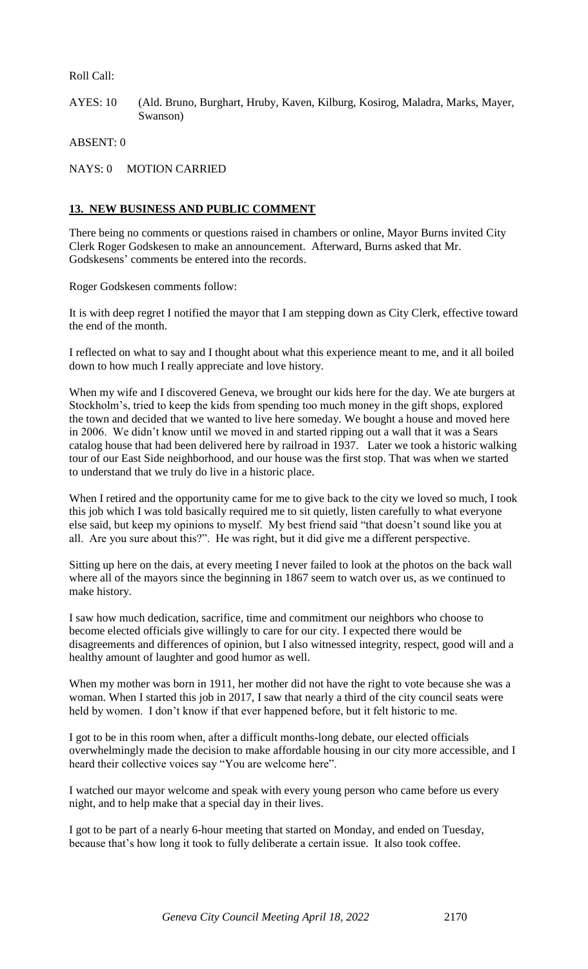Roll Call:

AYES: 10 (Ald. Bruno, Burghart, Hruby, Kaven, Kilburg, Kosirog, Maladra, Marks, Mayer, Swanson)

ABSENT: 0

NAYS: 0 MOTION CARRIED

### **13. NEW BUSINESS AND PUBLIC COMMENT**

There being no comments or questions raised in chambers or online, Mayor Burns invited City Clerk Roger Godskesen to make an announcement. Afterward, Burns asked that Mr. Godskesens' comments be entered into the records.

Roger Godskesen comments follow:

It is with deep regret I notified the mayor that I am stepping down as City Clerk, effective toward the end of the month.

I reflected on what to say and I thought about what this experience meant to me, and it all boiled down to how much I really appreciate and love history.

When my wife and I discovered Geneva, we brought our kids here for the day. We ate burgers at Stockholm's, tried to keep the kids from spending too much money in the gift shops, explored the town and decided that we wanted to live here someday. We bought a house and moved here in 2006. We didn't know until we moved in and started ripping out a wall that it was a Sears catalog house that had been delivered here by railroad in 1937. Later we took a historic walking tour of our East Side neighborhood, and our house was the first stop. That was when we started to understand that we truly do live in a historic place.

When I retired and the opportunity came for me to give back to the city we loved so much, I took this job which I was told basically required me to sit quietly, listen carefully to what everyone else said, but keep my opinions to myself. My best friend said "that doesn't sound like you at all. Are you sure about this?". He was right, but it did give me a different perspective.

Sitting up here on the dais, at every meeting I never failed to look at the photos on the back wall where all of the mayors since the beginning in 1867 seem to watch over us, as we continued to make history.

I saw how much dedication, sacrifice, time and commitment our neighbors who choose to become elected officials give willingly to care for our city. I expected there would be disagreements and differences of opinion, but I also witnessed integrity, respect, good will and a healthy amount of laughter and good humor as well.

When my mother was born in 1911, her mother did not have the right to vote because she was a woman. When I started this job in 2017, I saw that nearly a third of the city council seats were held by women. I don't know if that ever happened before, but it felt historic to me.

I got to be in this room when, after a difficult months-long debate, our elected officials overwhelmingly made the decision to make affordable housing in our city more accessible, and I heard their collective voices say "You are welcome here".

I watched our mayor welcome and speak with every young person who came before us every night, and to help make that a special day in their lives.

I got to be part of a nearly 6-hour meeting that started on Monday, and ended on Tuesday, because that's how long it took to fully deliberate a certain issue. It also took coffee.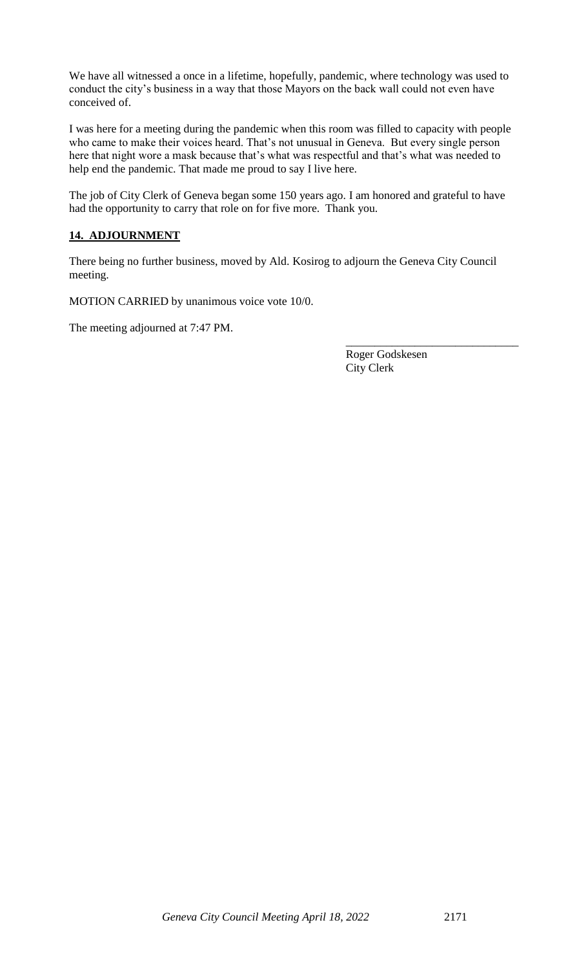We have all witnessed a once in a lifetime, hopefully, pandemic, where technology was used to conduct the city's business in a way that those Mayors on the back wall could not even have conceived of.

I was here for a meeting during the pandemic when this room was filled to capacity with people who came to make their voices heard. That's not unusual in Geneva. But every single person here that night wore a mask because that's what was respectful and that's what was needed to help end the pandemic. That made me proud to say I live here.

The job of City Clerk of Geneva began some 150 years ago. I am honored and grateful to have had the opportunity to carry that role on for five more. Thank you.

## **14. ADJOURNMENT**

There being no further business, moved by Ald. Kosirog to adjourn the Geneva City Council meeting.

MOTION CARRIED by unanimous voice vote 10/0.

The meeting adjourned at 7:47 PM.

Roger Godskesen City Clerk

\_\_\_\_\_\_\_\_\_\_\_\_\_\_\_\_\_\_\_\_\_\_\_\_\_\_\_\_\_\_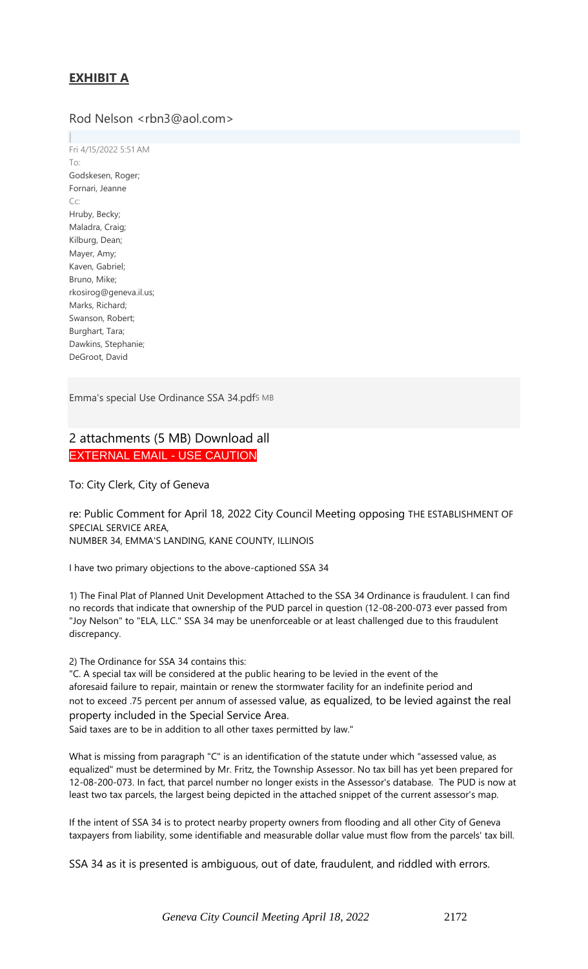# **EXHIBIT A**

# Rod Nelson <rbn3@aol.com>

Fri 4/15/2022 5:51 AM To: Godskesen, Roger; Fornari, Jeanne Cc: Hruby, Becky; Maladra, Craig; Kilburg, Dean; Mayer, Amy; Kaven, Gabriel; Bruno, Mike; rkosirog@geneva.il.us; Marks, Richard; Swanson, Robert; Burghart, Tara; Dawkins, Stephanie; DeGroot, David

Emma's special Use [Ordinance](https://owa.geneva.il.us/owa/service.svc/s/GetFileAttachment?id=AAMkAGM1NzZlZWFmLWIxYjAtNGM0NS1iOWVjLThkY2ZiMmQ5YWNiYgBGAAAAAAAJbO2F0JDcRYhkm2EWtGilBwCpn%2BEtYp5eTLyocsBZo6srAAAAqXEfAADYITDC6xWbTqPEfLJAOQ3jAADLAAqGAAABEgAQAIajTgbdnIZHrR8WbqgAc%2FM%3D&X-OWA-CANARY=Fz5px-uX8EmNhcv888CVLeDZGdKjItoIyHCN8TjVPDeNrAGHsiVGJ8xjw_kLkGLdUVUuffic-Bw.&isDocumentPreview=True) SSA 34.pdf5 MB

# 2 attachments (5 MB) Download all EXTERNAL EMAIL - USE CAUTION

To: City Clerk, City of Geneva

re: Public Comment for April 18, 2022 City Council Meeting opposing THE ESTABLISHMENT OF SPECIAL SERVICE AREA, NUMBER 34, EMMA'S LANDING, KANE COUNTY, ILLINOIS

I have two primary objections to the above-captioned SSA 34

1) The Final Plat of Planned Unit Development Attached to the SSA 34 Ordinance is fraudulent. I can find no records that indicate that ownership of the PUD parcel in question (12-08-200-073 ever passed from "Joy Nelson" to "ELA, LLC." SSA 34 may be unenforceable or at least challenged due to this fraudulent discrepancy.

2) The Ordinance for SSA 34 contains this:

"C. A special tax will be considered at the public hearing to be levied in the event of the aforesaid failure to repair, maintain or renew the stormwater facility for an indefinite period and not to exceed .75 percent per annum of assessed value, as equalized, to be levied against the real property included in the Special Service Area.

Said taxes are to be in addition to all other taxes permitted by law."

What is missing from paragraph "C" is an identification of the statute under which "assessed value, as equalized" must be determined by Mr. Fritz, the Township Assessor. No tax bill has yet been prepared for 12-08-200-073. In fact, that parcel number no longer exists in the Assessor's database. The PUD is now at least two tax parcels, the largest being depicted in the attached snippet of the current assessor's map.

If the intent of SSA 34 is to protect nearby property owners from flooding and all other City of Geneva taxpayers from liability, some identifiable and measurable dollar value must flow from the parcels' tax bill.

SSA 34 as it is presented is ambiguous, out of date, fraudulent, and riddled with errors.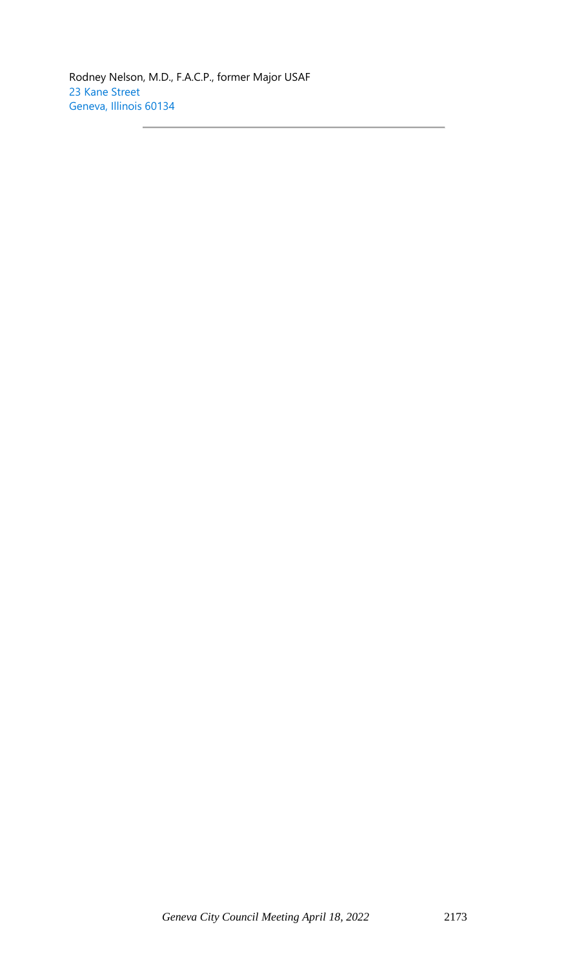Rodney Nelson, M.D., F.A.C.P., former Major USAF 23 Kane Street Geneva, Illinois 60134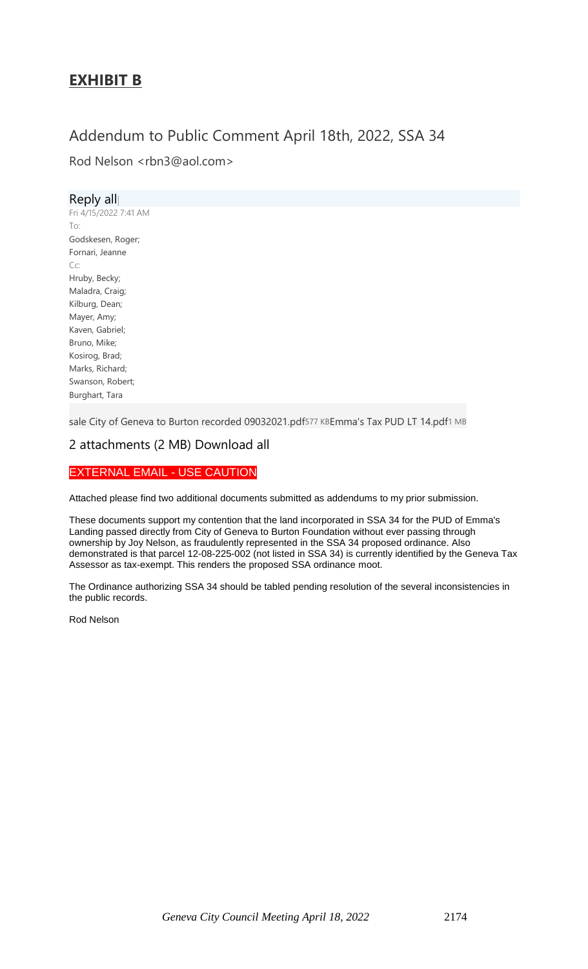# **EXHIBIT B**

# Addendum to Public Comment April 18th, 2022, SSA 34

Rod Nelson <rbn3@aol.com>

| Reply all             |
|-----------------------|
| Fri 4/15/2022 7:41 AM |
| To:                   |
| Godskesen, Roger;     |
| Fornari, Jeanne       |
| Cc:                   |
| Hruby, Becky;         |
| Maladra, Craig;       |
| Kilburg, Dean;        |
| Mayer, Amy;           |
| Kaven, Gabriel;       |
| Bruno, Mike;          |
| Kosirog, Brad;        |
| Marks, Richard;       |
| Swanson, Robert;      |
| Burghart, Tara        |

sale City of Geneva to Burton recorded [09032021.pdf](https://owa.geneva.il.us/owa/service.svc/s/GetFileAttachment?id=AAMkAGM1NzZlZWFmLWIxYjAtNGM0NS1iOWVjLThkY2ZiMmQ5YWNiYgBGAAAAAAAJbO2F0JDcRYhkm2EWtGilBwCpn%2BEtYp5eTLyocsBZo6srAAAAqXEfAADYITDC6xWbTqPEfLJAOQ3jAADLAAqHAAABEgAQANMzoXvZsXRJs3YhG%2BR1XMw%3D&X-OWA-CANARY=OOzMsUord0SYdIl-NWmZhCCUesqkItoIgqsSLFd2K7PGO24wdOdawTlx-fkSFlgsITNMQCXudpc.&isDocumentPreview=True)577 KB[Emma's](https://owa.geneva.il.us/owa/service.svc/s/GetFileAttachment?id=AAMkAGM1NzZlZWFmLWIxYjAtNGM0NS1iOWVjLThkY2ZiMmQ5YWNiYgBGAAAAAAAJbO2F0JDcRYhkm2EWtGilBwCpn%2BEtYp5eTLyocsBZo6srAAAAqXEfAADYITDC6xWbTqPEfLJAOQ3jAADLAAqHAAABEgAQAJimUIX8eIpAhfsNq2wphns%3D&X-OWA-CANARY=OOzMsUord0SYdIl-NWmZhCCUesqkItoIgqsSLFd2K7PGO24wdOdawTlx-fkSFlgsITNMQCXudpc.&isDocumentPreview=True) Tax PUD LT 14.pdf1 MB

## 2 attachments (2 MB) Download all

# EXTERNAL EMAIL - USE CAUTION

Attached please find two additional documents submitted as addendums to my prior submission.

These documents support my contention that the land incorporated in SSA 34 for the PUD of Emma's Landing passed directly from City of Geneva to Burton Foundation without ever passing through ownership by Joy Nelson, as fraudulently represented in the SSA 34 proposed ordinance. Also demonstrated is that parcel 12-08-225-002 (not listed in SSA 34) is currently identified by the Geneva Tax Assessor as tax-exempt. This renders the proposed SSA ordinance moot.

The Ordinance authorizing SSA 34 should be tabled pending resolution of the several inconsistencies in the public records.

Rod Nelson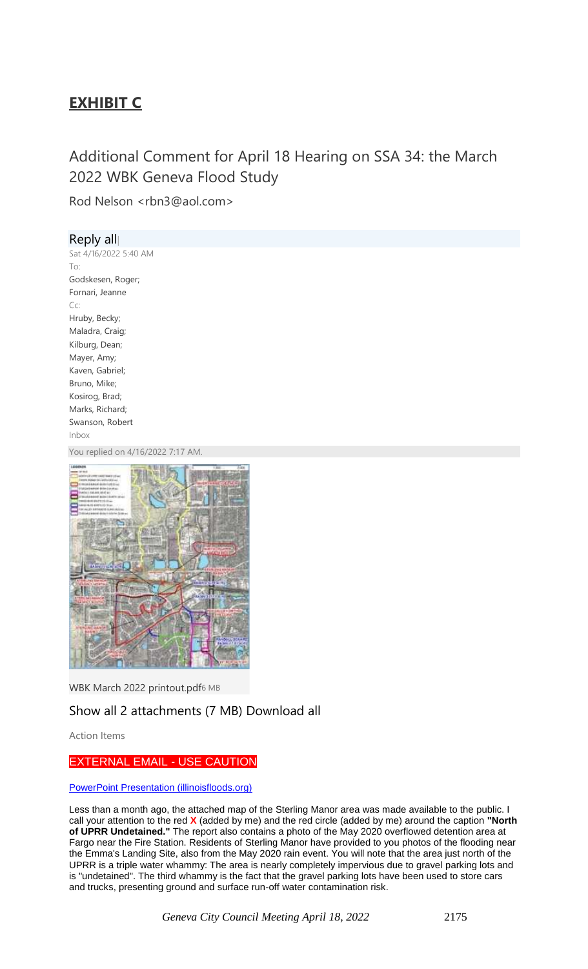# **EXHIBIT C**

# Additional Comment for April 18 Hearing on SSA 34: the March 2022 WBK Geneva Flood Study

Rod Nelson <rbn3@aol.com>

#### Reply all| Sat 4/16/2022 5:40 AM To: Godskesen, Roger; Fornari, Jeanne Cc: Hruby, Becky; Maladra, Craig; Kilburg, Dean; Mayer, Amy; Kaven, Gabriel; Bruno, Mike; Kosirog, Brad; Marks, Richard; Swanson, Robert Inbox

You replied on 4/16/2022 7:17 AM.



WBK March 2022 [printout.pdf](https://owa.geneva.il.us/owa/service.svc/s/GetFileAttachment?id=AAMkAGM1NzZlZWFmLWIxYjAtNGM0NS1iOWVjLThkY2ZiMmQ5YWNiYgBGAAAAAAAJbO2F0JDcRYhkm2EWtGilBwCpn%2BEtYp5eTLyocsBZo6srAAAAqXEfAADYITDC6xWbTqPEfLJAOQ3jAADLAAqNAAABEgAQAOEfTrV%2BsHdEozAvV%2B1fm0A%3D&X-OWA-CANARY=IYYNkTy72UW5Ld3NG18u1SAhwV-nItoIb02stv34Om_ZwLrysbDwe1_9xEMyKxrlyI2l_bZ9M9A.&isDocumentPreview=True)6 MB

# Show all 2 attachments (7 MB) Download all

Action Items

# EXTERNAL EMAIL - USE CAUTION

[PowerPoint Presentation \(illinoisfloods.org\)](https://www.illinoisfloods.org/content/documents/2c_geneva_watershed_study.pdf)

Less than a month ago, the attached map of the Sterling Manor area was made available to the public. I call your attention to the red **X** (added by me) and the red circle (added by me) around the caption **"North of UPRR Undetained."** The report also contains a photo of the May 2020 overflowed detention area at Fargo near the Fire Station. Residents of Sterling Manor have provided to you photos of the flooding near the Emma's Landing Site, also from the May 2020 rain event. You will note that the area just north of the UPRR is a triple water whammy: The area is nearly completely impervious due to gravel parking lots and is "undetained". The third whammy is the fact that the gravel parking lots have been used to store cars and trucks, presenting ground and surface run-off water contamination risk.